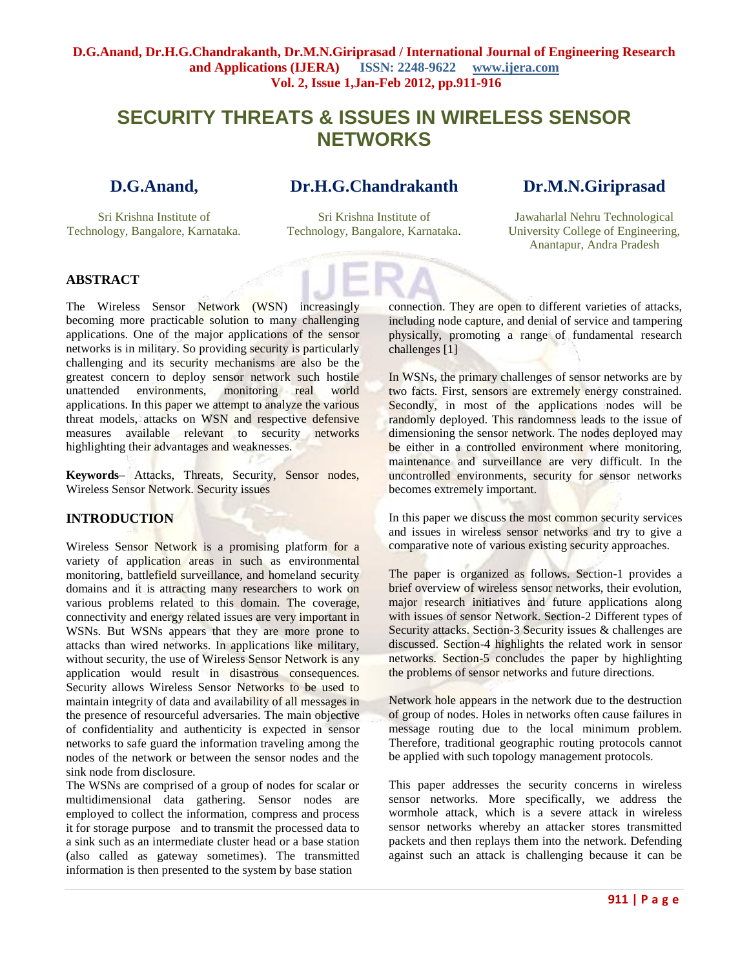# **SECURITY THREATS & ISSUES IN WIRELESS SENSOR NETWORKS**

## **D.G.Anand,**

Sri Krishna Institute of Technology, Bangalore, Karnataka.

## **Dr.H.G.Chandrakanth**

## **Dr.M.N.Giriprasad**

Sri Krishna Institute of Technology, Bangalore, Karnataka.

Jawaharlal Nehru Technological University College of Engineering, Anantapur, Andra Pradesh

## **ABSTRACT**

The Wireless Sensor Network (WSN) increasingly becoming more practicable solution to many challenging applications. One of the major applications of the sensor networks is in military. So providing security is particularly challenging and its security mechanisms are also be the greatest concern to deploy sensor network such hostile unattended environments, monitoring real world applications. In this paper we attempt to analyze the various threat models, attacks on WSN and respective defensive measures available relevant to security networks highlighting their advantages and weaknesses.

**Keywords–** Attacks, Threats, Security, Sensor nodes, Wireless Sensor Network. Security issues

## **INTRODUCTION**

Wireless Sensor Network is a promising platform for a variety of application areas in such as environmental monitoring, battlefield surveillance, and homeland security domains and it is attracting many researchers to work on various problems related to this domain. The coverage, connectivity and energy related issues are very important in WSNs. But WSNs appears that they are more prone to attacks than wired networks. In applications like military, without security, the use of Wireless Sensor Network is any application would result in disastrous consequences. Security allows Wireless Sensor Networks to be used to maintain integrity of data and availability of all messages in the presence of resourceful adversaries. The main objective of confidentiality and authenticity is expected in sensor networks to safe guard the information traveling among the nodes of the network or between the sensor nodes and the sink node from disclosure.

The WSNs are comprised of a group of nodes for scalar or multidimensional data gathering. Sensor nodes are employed to collect the information, compress and process it for storage purpose and to transmit the processed data to a sink such as an intermediate cluster head or a base station (also called as gateway sometimes). The transmitted information is then presented to the system by base station

connection. They are open to different varieties of attacks, including node capture, and denial of service and tampering physically, promoting a range of fundamental research challenges [1]

In WSNs, the primary challenges of sensor networks are by two facts. First, sensors are extremely energy constrained. Secondly, in most of the applications nodes will be randomly deployed. This randomness leads to the issue of dimensioning the sensor network. The nodes deployed may be either in a controlled environment where monitoring, maintenance and surveillance are very difficult. In the uncontrolled environments, security for sensor networks becomes extremely important.

In this paper we discuss the most common security services and issues in wireless sensor networks and try to give a comparative note of various existing security approaches.

The paper is organized as follows. Section-1 provides a brief overview of wireless sensor networks, their evolution, major research initiatives and future applications along with issues of sensor Network. Section-2 Different types of Security attacks. Section-3 Security issues & challenges are discussed. Section-4 highlights the related work in sensor networks. Section-5 concludes the paper by highlighting the problems of sensor networks and future directions.

Network hole appears in the network due to the destruction of group of nodes. Holes in networks often cause failures in message routing due to the local minimum problem. Therefore, traditional geographic routing protocols cannot be applied with such topology management protocols.

This paper addresses the security concerns in wireless sensor networks. More specifically, we address the wormhole attack, which is a severe attack in wireless sensor networks whereby an attacker stores transmitted packets and then replays them into the network. Defending against such an attack is challenging because it can be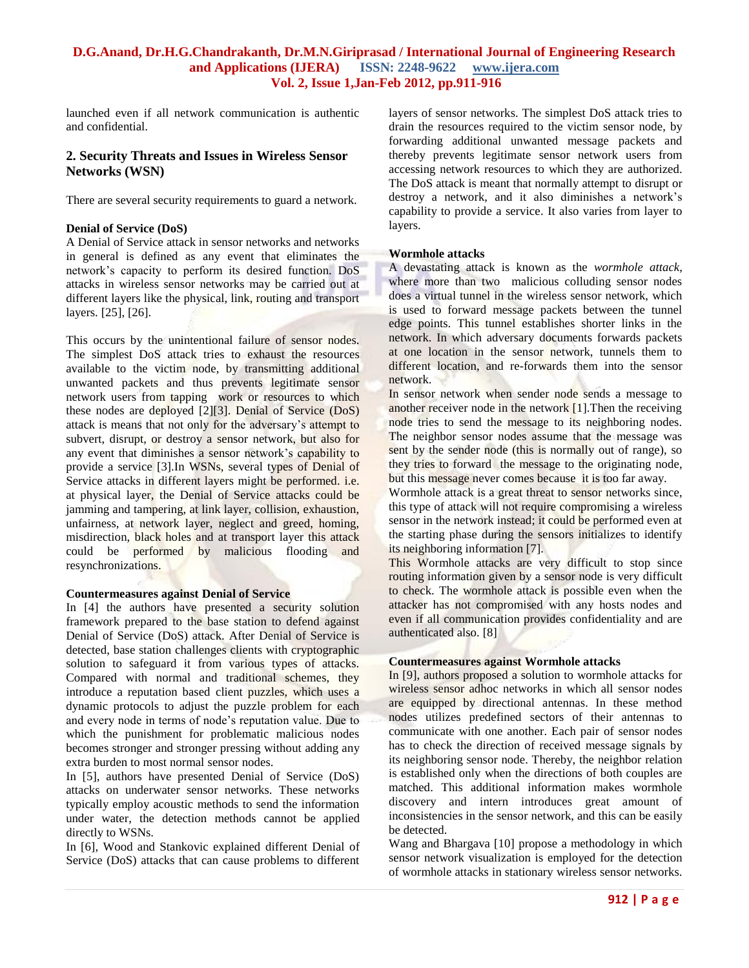launched even if all network communication is authentic and confidential.

### **2. Security Threats and Issues in Wireless Sensor Networks (WSN)**

There are several security requirements to guard a network.

#### **Denial of Service (DoS)**

A Denial of Service attack in sensor networks and networks in general is defined as any event that eliminates the network's capacity to perform its desired function. DoS attacks in wireless sensor networks may be carried out at different layers like the physical, link, routing and transport layers. [25], [26].

This occurs by the unintentional failure of sensor nodes. The simplest DoS attack tries to exhaust the resources available to the victim node, by transmitting additional unwanted packets and thus prevents legitimate sensor network users from tapping work or resources to which these nodes are deployed [2][3]. Denial of Service (DoS) attack is means that not only for the adversary's attempt to subvert, disrupt, or destroy a sensor network, but also for any event that diminishes a sensor network's capability to provide a service [3].In WSNs, several types of Denial of Service attacks in different layers might be performed. i.e. at physical layer, the Denial of Service attacks could be jamming and tampering, at link layer, collision, exhaustion, unfairness, at network layer, neglect and greed, homing, misdirection, black holes and at transport layer this attack could be performed by malicious flooding and resynchronizations.

#### **Countermeasures against Denial of Service**

In [4] the authors have presented a security solution framework prepared to the base station to defend against Denial of Service (DoS) attack. After Denial of Service is detected, base station challenges clients with cryptographic solution to safeguard it from various types of attacks. Compared with normal and traditional schemes, they introduce a reputation based client puzzles, which uses a dynamic protocols to adjust the puzzle problem for each and every node in terms of node's reputation value. Due to which the punishment for problematic malicious nodes becomes stronger and stronger pressing without adding any extra burden to most normal sensor nodes.

In [5], authors have presented Denial of Service (DoS) attacks on underwater sensor networks. These networks typically employ acoustic methods to send the information under water, the detection methods cannot be applied directly to WSNs.

In [6], Wood and Stankovic explained different Denial of Service (DoS) attacks that can cause problems to different

layers of sensor networks. The simplest DoS attack tries to drain the resources required to the victim sensor node, by forwarding additional unwanted message packets and thereby prevents legitimate sensor network users from accessing network resources to which they are authorized. The DoS attack is meant that normally attempt to disrupt or destroy a network, and it also diminishes a network's capability to provide a service. It also varies from layer to layers.

#### **Wormhole attacks**

A devastating attack is known as the *wormhole attack*, where more than two malicious colluding sensor nodes does a virtual tunnel in the wireless sensor network, which is used to forward message packets between the tunnel edge points. This tunnel establishes shorter links in the network. In which adversary documents forwards packets at one location in the sensor network, tunnels them to different location, and re-forwards them into the sensor network.

In sensor network when sender node sends a message to another receiver node in the network [1].Then the receiving node tries to send the message to its neighboring nodes. The neighbor sensor nodes assume that the message was sent by the sender node (this is normally out of range), so they tries to forward the message to the originating node, but this message never comes because it is too far away.

Wormhole attack is a great threat to sensor networks since, this type of attack will not require compromising a wireless sensor in the network instead; it could be performed even at the starting phase during the sensors initializes to identify its neighboring information [7].

This Wormhole attacks are very difficult to stop since routing information given by a sensor node is very difficult to check. The wormhole attack is possible even when the attacker has not compromised with any hosts nodes and even if all communication provides confidentiality and are authenticated also. [8]

#### **Countermeasures against Wormhole attacks**

In [9], authors proposed a solution to wormhole attacks for wireless sensor adhoc networks in which all sensor nodes are equipped by directional antennas. In these method nodes utilizes predefined sectors of their antennas to communicate with one another. Each pair of sensor nodes has to check the direction of received message signals by its neighboring sensor node. Thereby, the neighbor relation is established only when the directions of both couples are matched. This additional information makes wormhole discovery and intern introduces great amount of inconsistencies in the sensor network, and this can be easily be detected.

Wang and Bhargava [10] propose a methodology in which sensor network visualization is employed for the detection of wormhole attacks in stationary wireless sensor networks.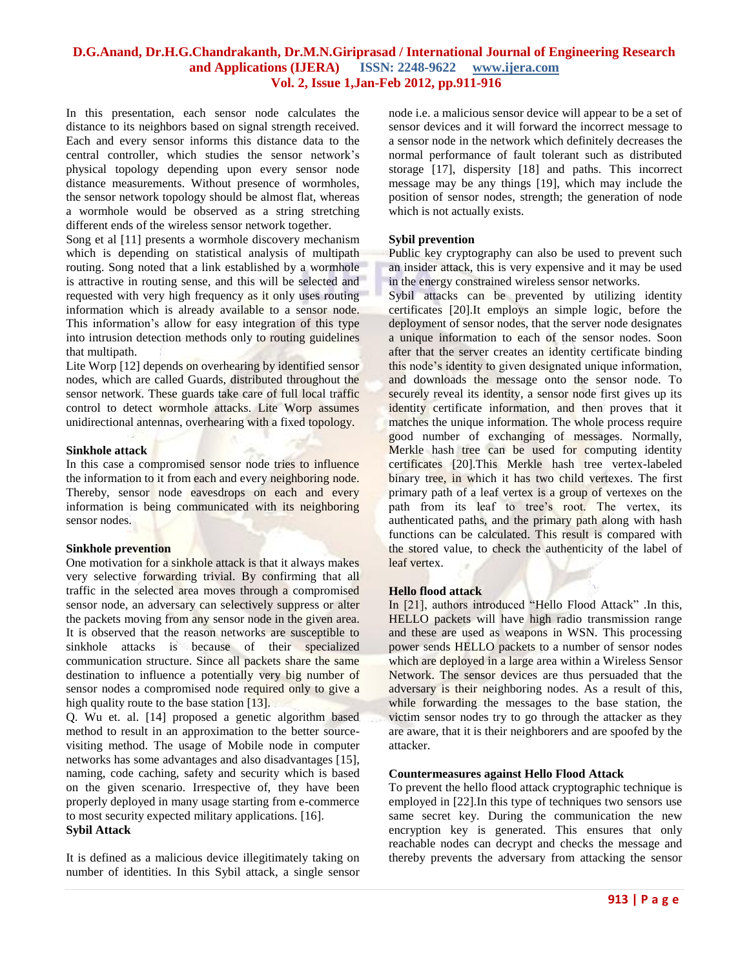In this presentation, each sensor node calculates the distance to its neighbors based on signal strength received. Each and every sensor informs this distance data to the central controller, which studies the sensor network's physical topology depending upon every sensor node distance measurements. Without presence of wormholes, the sensor network topology should be almost flat, whereas a wormhole would be observed as a string stretching different ends of the wireless sensor network together.

Song et al [11] presents a wormhole discovery mechanism which is depending on statistical analysis of multipath routing. Song noted that a link established by a wormhole is attractive in routing sense, and this will be selected and requested with very high frequency as it only uses routing information which is already available to a sensor node. This information's allow for easy integration of this type into intrusion detection methods only to routing guidelines that multipath.

Lite Worp [12] depends on overhearing by identified sensor nodes, which are called Guards, distributed throughout the sensor network. These guards take care of full local traffic control to detect wormhole attacks. Lite Worp assumes unidirectional antennas, overhearing with a fixed topology.

#### **Sinkhole attack**

In this case a compromised sensor node tries to influence the information to it from each and every neighboring node. Thereby, sensor node eavesdrops on each and every information is being communicated with its neighboring sensor nodes.

#### **Sinkhole prevention**

One motivation for a sinkhole attack is that it always makes very selective forwarding trivial. By confirming that all traffic in the selected area moves through a compromised sensor node, an adversary can selectively suppress or alter the packets moving from any sensor node in the given area. It is observed that the reason networks are susceptible to sinkhole attacks is because of their specialized communication structure. Since all packets share the same destination to influence a potentially very big number of sensor nodes a compromised node required only to give a high quality route to the base station [13].

Q. Wu et. al. [14] proposed a genetic algorithm based method to result in an approximation to the better sourcevisiting method. The usage of Mobile node in computer networks has some advantages and also disadvantages [15], naming, code caching, safety and security which is based on the given scenario. Irrespective of, they have been properly deployed in many usage starting from e-commerce to most security expected military applications. [16]. **Sybil Attack**

It is defined as a malicious device illegitimately taking on number of identities. In this Sybil attack, a single sensor node i.e. a malicious sensor device will appear to be a set of sensor devices and it will forward the incorrect message to a sensor node in the network which definitely decreases the normal performance of fault tolerant such as distributed storage [17], dispersity [18] and paths. This incorrect message may be any things [19], which may include the position of sensor nodes, strength; the generation of node which is not actually exists.

#### **Sybil prevention**

Public key cryptography can also be used to prevent such an insider attack, this is very expensive and it may be used in the energy constrained wireless sensor networks.

Sybil attacks can be prevented by utilizing identity certificates [20].It employs an simple logic, before the deployment of sensor nodes, that the server node designates a unique information to each of the sensor nodes. Soon after that the server creates an identity certificate binding this node's identity to given designated unique information, and downloads the message onto the sensor node. To securely reveal its identity, a sensor node first gives up its identity certificate information, and then proves that it matches the unique information. The whole process require good number of exchanging of messages. Normally, Merkle hash tree can be used for computing identity certificates [20].This Merkle hash tree vertex-labeled binary tree, in which it has two child vertexes. The first primary path of a leaf vertex is a group of vertexes on the path from its leaf to tree's root. The vertex, its authenticated paths, and the primary path along with hash functions can be calculated. This result is compared with the stored value, to check the authenticity of the label of leaf vertex.

#### **Hello flood attack**

In [21], authors introduced "Hello Flood Attack" .In this, HELLO packets will have high radio transmission range and these are used as weapons in WSN. This processing power sends HELLO packets to a number of sensor nodes which are deployed in a large area within a Wireless Sensor Network. The sensor devices are thus persuaded that the adversary is their neighboring nodes. As a result of this, while forwarding the messages to the base station, the victim sensor nodes try to go through the attacker as they are aware, that it is their neighborers and are spoofed by the attacker.

#### **Countermeasures against Hello Flood Attack**

To prevent the hello flood attack cryptographic technique is employed in [22].In this type of techniques two sensors use same secret key. During the communication the new encryption key is generated. This ensures that only reachable nodes can decrypt and checks the message and thereby prevents the adversary from attacking the sensor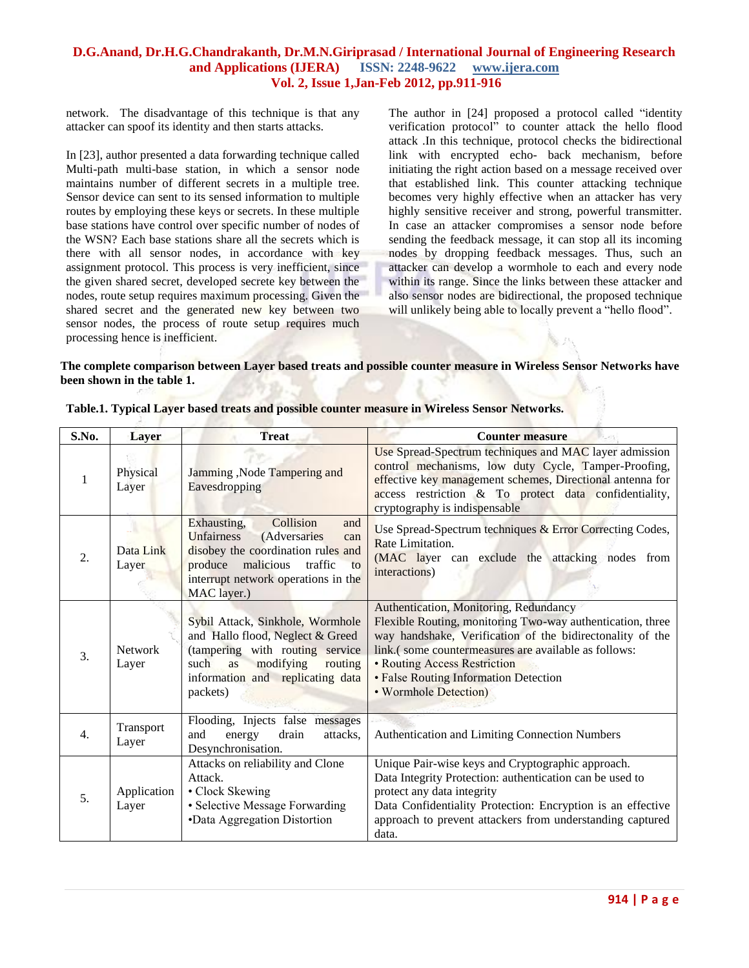network. The disadvantage of this technique is that any attacker can spoof its identity and then starts attacks.

In [23], author presented a data forwarding technique called Multi-path multi-base station, in which a sensor node maintains number of different secrets in a multiple tree. Sensor device can sent to its sensed information to multiple routes by employing these keys or secrets. In these multiple base stations have control over specific number of nodes of the WSN? Each base stations share all the secrets which is there with all sensor nodes, in accordance with key assignment protocol. This process is very inefficient, since the given shared secret, developed secrete key between the nodes, route setup requires maximum processing. Given the shared secret and the generated new key between two sensor nodes, the process of route setup requires much processing hence is inefficient.

The author in [24] proposed a protocol called "identity verification protocol" to counter attack the hello flood attack .In this technique, protocol checks the bidirectional link with encrypted echo- back mechanism, before initiating the right action based on a message received over that established link. This counter attacking technique becomes very highly effective when an attacker has very highly sensitive receiver and strong, powerful transmitter. In case an attacker compromises a sensor node before sending the feedback message, it can stop all its incoming nodes by dropping feedback messages. Thus, such an attacker can develop a wormhole to each and every node within its range. Since the links between these attacker and also sensor nodes are bidirectional, the proposed technique will unlikely being able to locally prevent a "hello flood".

#### **The complete comparison between Layer based treats and possible counter measure in Wireless Sensor Networks have been shown in the table 1.**

| S.No.            | Layer                   | <b>Treat</b>                                                                                                                                                                                                  | <b>Counter measure</b>                                                                                                                                                                                                                                                                                                      |  |  |
|------------------|-------------------------|---------------------------------------------------------------------------------------------------------------------------------------------------------------------------------------------------------------|-----------------------------------------------------------------------------------------------------------------------------------------------------------------------------------------------------------------------------------------------------------------------------------------------------------------------------|--|--|
| 1                | Physical<br>Layer       | Jamming, Node Tampering and<br>Eavesdropping                                                                                                                                                                  | Use Spread-Spectrum techniques and MAC layer admission<br>control mechanisms, low duty Cycle, Tamper-Proofing,<br>effective key management schemes, Directional antenna for<br>access restriction & To protect data confidentiality,<br>cryptography is indispensable                                                       |  |  |
| 2.               | Data Link<br>Layer      | Collision<br>Exhausting,<br>and<br>(Adversaries<br><b>Unfairness</b><br>can<br>disobey the coordination rules and<br>produce malicious<br>traffic<br>to<br>interrupt network operations in the<br>MAC layer.) | Use Spread-Spectrum techniques & Error Correcting Codes,<br>Rate Limitation.<br>(MAC layer can exclude the attacking nodes from<br>interactions)                                                                                                                                                                            |  |  |
| $\overline{3}$ . | <b>Network</b><br>Layer | Sybil Attack, Sinkhole, Wormhole<br>and Hallo flood, Neglect & Greed<br>(tampering with routing service<br>such<br>modifying<br>as<br>routing<br>information and replicating data<br>packets)                 | Authentication, Monitoring, Redundancy<br>Flexible Routing, monitoring Two-way authentication, three<br>way handshake, Verification of the bidirectonality of the<br>link.(some countermeasures are available as follows:<br>• Routing Access Restriction<br>• False Routing Information Detection<br>• Wormhole Detection) |  |  |
| 4.               | Transport<br>Layer      | Flooding, Injects false messages<br>and<br>energy<br>drain<br>attacks,<br>Desynchronisation.                                                                                                                  | Authentication and Limiting Connection Numbers                                                                                                                                                                                                                                                                              |  |  |
| 5.               | Application<br>Layer    | Attacks on reliability and Clone<br>Attack.<br>• Clock Skewing<br>• Selective Message Forwarding<br>•Data Aggregation Distortion                                                                              | Unique Pair-wise keys and Cryptographic approach.<br>Data Integrity Protection: authentication can be used to<br>protect any data integrity<br>Data Confidentiality Protection: Encryption is an effective<br>approach to prevent attackers from understanding captured<br>data.                                            |  |  |

**Table.1. Typical Layer based treats and possible counter measure in Wireless Sensor Networks.**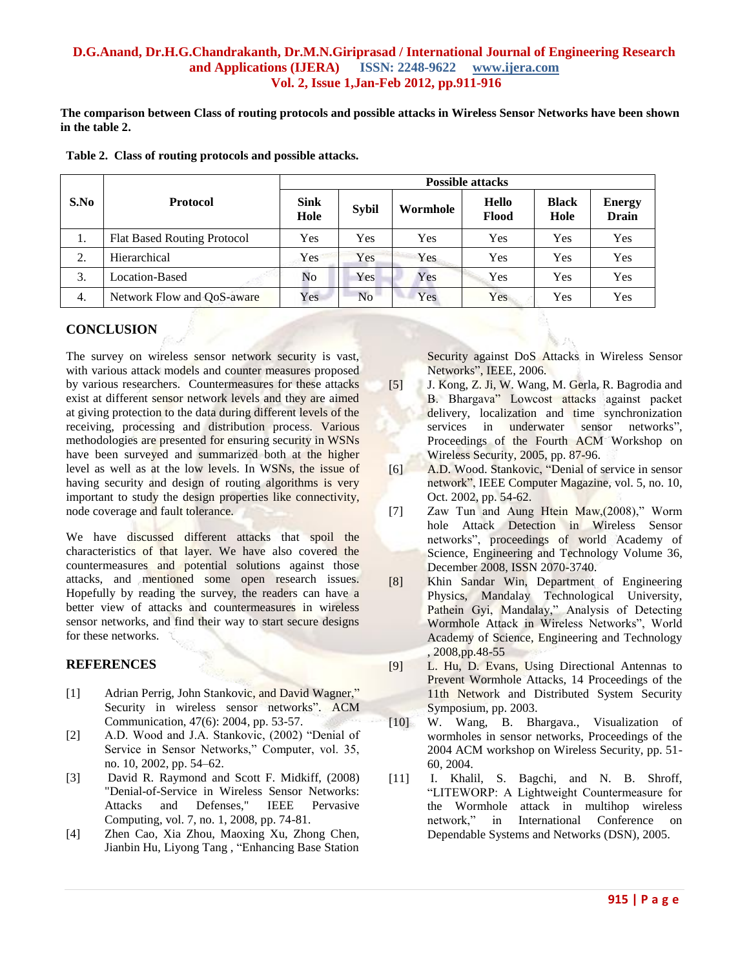**The comparison between Class of routing protocols and possible attacks in Wireless Sensor Networks have been shown in the table 2.**

|      |                                    | <b>Possible attacks</b> |              |            |                |                      |                        |  |  |
|------|------------------------------------|-------------------------|--------------|------------|----------------|----------------------|------------------------|--|--|
| S.No | <b>Protocol</b>                    | <b>Sink</b><br>Hole     | <b>Sybil</b> | Wormhole   | Hello<br>Flood | <b>Black</b><br>Hole | <b>Energy</b><br>Drain |  |  |
| 1.   | <b>Flat Based Routing Protocol</b> | Yes                     | Yes          | Yes        | Yes            | Yes                  | Yes                    |  |  |
| 2.   | Hierarchical                       | Yes                     | Yes          | <b>Yes</b> | Yes            | Yes                  | Yes                    |  |  |
| 3.   | Location-Based                     | No                      | Yes          | Yes        | Yes            | Yes                  | Yes                    |  |  |
| 4.   | Network Flow and QoS-aware         | Yes                     | <b>No</b>    | Yes        | Yes            | Yes                  | Yes                    |  |  |

**Table 2. Class of routing protocols and possible attacks.** 

## **CONCLUSION**

The survey on wireless sensor network security is vast, with various attack models and counter measures proposed by various researchers. Countermeasures for these attacks exist at different sensor network levels and they are aimed at giving protection to the data during different levels of the receiving, processing and distribution process. Various methodologies are presented for ensuring security in WSNs have been surveyed and summarized both at the higher level as well as at the low levels. In WSNs, the issue of having security and design of routing algorithms is very important to study the design properties like connectivity, node coverage and fault tolerance.

We have discussed different attacks that spoil the characteristics of that layer. We have also covered the countermeasures and potential solutions against those attacks, and mentioned some open research issues. Hopefully by reading the survey, the readers can have a better view of attacks and countermeasures in wireless sensor networks, and find their way to start secure designs for these networks.

## **REFERENCES**

- [1] Adrian Perrig, John Stankovic, and David Wagner," Security in wireless sensor networks". ACM Communication, 47(6): 2004, pp. 53-57.
- [2] A.D. Wood and J.A. Stankovic, (2002) "Denial of Service in Sensor Networks," Computer, vol. 35, no. 10, 2002, pp. 54–62.
- [3] David R. Raymond and Scott F. Midkiff, (2008) "Denial-of-Service in Wireless Sensor Networks: Attacks and Defenses," IEEE Pervasive Computing, vol. 7, no. 1, 2008, pp. 74-81.
- [4] Zhen Cao, Xia Zhou, Maoxing Xu, Zhong Chen, Jianbin Hu, Liyong Tang , "Enhancing Base Station

Security against DoS Attacks in Wireless Sensor Networks", IEEE, 2006.

- [5] J. Kong, Z. Ji, W. Wang, M. Gerla, R. Bagrodia and B. Bhargava" Lowcost attacks against packet delivery, localization and time synchronization services in underwater sensor networks", Proceedings of the Fourth ACM Workshop on Wireless Security, 2005, pp. 87-96.
- [6] A.D. Wood. Stankovic, "Denial of service in sensor network", IEEE Computer Magazine, vol. 5, no. 10, Oct. 2002, pp. 54-62.
- [7] Zaw Tun and Aung Htein Maw,(2008)," Worm hole Attack Detection in Wireless Sensor networks", proceedings of world Academy of Science, Engineering and Technology Volume 36, December 2008, ISSN 2070-3740.
- [8] Khin Sandar Win, Department of Engineering Physics, Mandalay Technological University, Pathein Gyi, Mandalay," Analysis of Detecting Wormhole Attack in Wireless Networks", World Academy of Science, Engineering and Technology , 2008,pp.48-55
- [9] L. Hu, D. Evans, Using Directional Antennas to Prevent Wormhole Attacks, 14 Proceedings of the 11th Network and Distributed System Security Symposium, pp. 2003.
- [10] W. Wang, B. Bhargava., Visualization of wormholes in sensor networks, Proceedings of the 2004 ACM workshop on Wireless Security, pp. 51- 60, 2004.
- [11] I. Khalil, S. Bagchi, and N. B. Shroff, "LITEWORP: A Lightweight Countermeasure for the Wormhole attack in multihop wireless network," in International Conference on Dependable Systems and Networks (DSN), 2005.